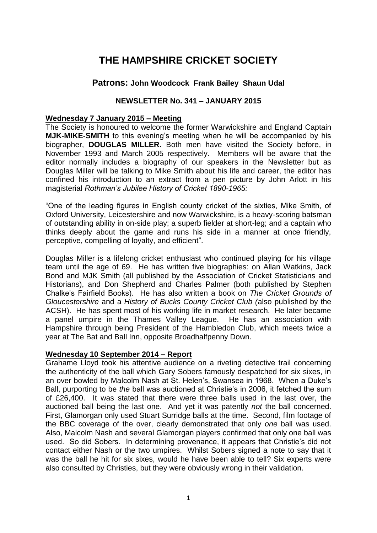# **THE HAMPSHIRE CRICKET SOCIETY**

## **Patrons: John Woodcock Frank Bailey Shaun Udal**

## **NEWSLETTER No. 341 – JANUARY 2015**

## **Wednesday 7 January 2015 – Meeting**

The Society is honoured to welcome the former Warwickshire and England Captain **MJK-MIKE-SMITH** to this evening's meeting when he will be accompanied by his biographer, **DOUGLAS MILLER.** Both men have visited the Society before, in November 1993 and March 2005 respectively. Members will be aware that the editor normally includes a biography of our speakers in the Newsletter but as Douglas Miller will be talking to Mike Smith about his life and career, the editor has confined his introduction to an extract from a pen picture by John Arlott in his magisterial *Rothman's Jubilee History of Cricket 1890-1965:*

"One of the leading figures in English county cricket of the sixties, Mike Smith, of Oxford University, Leicestershire and now Warwickshire, is a heavy-scoring batsman of outstanding ability in on-side play; a superb fielder at short-leg; and a captain who thinks deeply about the game and runs his side in a manner at once friendly, perceptive, compelling of loyalty, and efficient".

Douglas Miller is a lifelong cricket enthusiast who continued playing for his village team until the age of 69. He has written five biographies: on Allan Watkins, Jack Bond and MJK Smith (all published by the Association of Cricket Statisticians and Historians), and Don Shepherd and Charles Palmer (both published by Stephen Chalke's Fairfield Books). He has also written a book on *The Cricket Grounds of Gloucestershire* and a *History of Bucks County Cricket Club (*also published by the ACSH). He has spent most of his working life in market research. He later became a panel umpire in the Thames Valley League. He has an association with Hampshire through being President of the Hambledon Club, which meets twice a year at The Bat and Ball Inn, opposite Broadhalfpenny Down.

#### **Wednesday 10 September 2014 – Report**

Grahame Lloyd took his attentive audience on a riveting detective trail concerning the authenticity of the ball which Gary Sobers famously despatched for six sixes, in an over bowled by Malcolm Nash at St. Helen's, Swansea in 1968. When a Duke's Ball, purporting to be *the* ball was auctioned at Christie's in 2006, it fetched the sum of £26,400. It was stated that there were three balls used in the last over, the auctioned ball being the last one. And yet it was patently *not* the ball concerned. First, Glamorgan only used Stuart Surridge balls at the time. Second, film footage of the BBC coverage of the over, clearly demonstrated that only *one* ball was used. Also, Malcolm Nash and several Glamorgan players confirmed that only one ball was used. So did Sobers. In determining provenance, it appears that Christie's did not contact either Nash or the two umpires. Whilst Sobers signed a note to say that it was the ball he hit for six sixes, would he have been able to tell? Six experts were also consulted by Christies, but they were obviously wrong in their validation.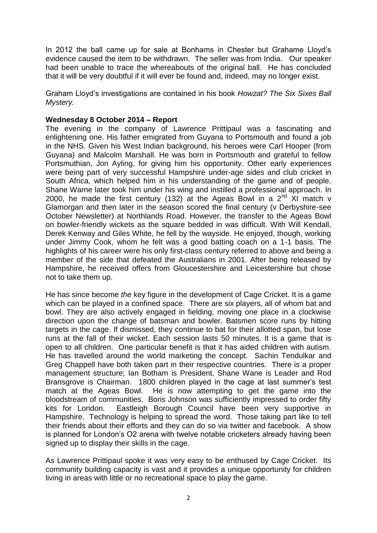In 2012 the ball came up for sale at Bonhams in Chester but Grahame Lloyd's evidence caused the item to be withdrawn. The seller was from India. Our speaker had been unable to trace the whereabouts of the original ball. He has concluded that it will be very doubtful if it will ever be found and, indeed, may no longer exist.

Graham Lloyd's investigations are contained in his book *Howzat? The Six Sixes Ball Mystery.* 

## **Wednesday 8 October 2014 – Report**

The evening in the company of Lawrence Prittipaul was a fascinating and enlightening one. His father emigrated from Guyana to Portsmouth and found a job in the NHS. Given his West Indian background, his heroes were Carl Hooper (from Guyana) and Malcolm Marshall. He was born in Portsmouth and grateful to fellow Portsmuthian, Jon Ayling, for giving him his opportunity. Other early experiences were being part of very successful Hampshire under-age sides and club cricket in South Africa, which helped him in his understanding of the game and of people. Shane Warne later took him under his wing and instilled a professional approach. In 2000, he made the first century (132) at the Ageas Bowl in a  $2<sup>nd</sup>$  XI match v Glamorgan and then later in the season scored the final century (v Derbyshire-see October Newsletter) at Northlands Road. However, the transfer to the Ageas Bowl on bowler-friendly wickets as the square bedded in was difficult. With Will Kendall, Derek Kenway and Giles White, he fell by the wayside. He enjoyed, though, working under Jimmy Cook, whom he felt was a good batting coach on a 1-1 basis. The highlights of his career were his only first-class century referred to above and being a member of the side that defeated the Australians in 2001. After being released by Hampshire, he received offers from Gloucestershire and Leicestershire but chose not to take them up.

He has since become *the* key figure in the development of Cage Cricket. It is a game which can be played in a confined space. There are six players, all of whom bat and bowl. They are also actively engaged in fielding, moving one place in a clockwise direction upon the change of batsman and bowler. Batsmen score runs by hitting targets in the cage. If dismissed, they continue to bat for their allotted span, but lose runs at the fall of their wicket. Each session lasts 50 minutes. It is a game that is open to all children. One particular benefit is that it has aided children with autism. He has travelled around the world marketing the concept. Sachin Tendulkar and Greg Chappell have both taken part in their respective countries. There is a proper management structure; Ian Botham is President, Shane Wane is Leader and Rod Bransgrove is Chairman. 1800 children played in the cage at last summer's test match at the Ageas Bowl. He is now attempting to get the game into the bloodstream of communities. Boris Johnson was sufficiently impressed to order fifty kits for London. Eastleigh Borough Council have been very supportive in Hampshire. Technology is helping to spread the word. Those taking part like to tell their friends about their efforts and they can do so via twitter and facebook. A show is planned for London's O2 arena with twelve notable cricketers already having been signed up to display their skills in the cage.

As Lawrence Prittipaul spoke it was very easy to be enthused by Cage Cricket. Its community building capacity is vast and it provides a unique opportunity for children living in areas with little or no recreational space to play the game.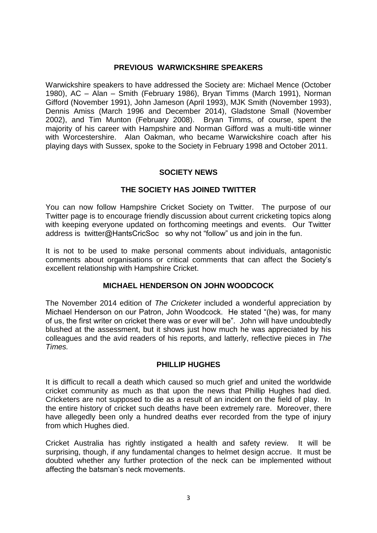### **PREVIOUS WARWICKSHIRE SPEAKERS**

Warwickshire speakers to have addressed the Society are: Michael Mence (October 1980), AC – Alan – Smith (February 1986), Bryan Timms (March 1991), Norman Gifford (November 1991), John Jameson (April 1993), MJK Smith (November 1993), Dennis Amiss (March 1996 and December 2014), Gladstone Small (November 2002), and Tim Munton (February 2008). Bryan Timms, of course, spent the majority of his career with Hampshire and Norman Gifford was a multi-title winner with Worcestershire. Alan Oakman, who became Warwickshire coach after his playing days with Sussex, spoke to the Society in February 1998 and October 2011.

#### **SOCIETY NEWS**

## **THE SOCIETY HAS JOINED TWITTER**

You can now follow Hampshire Cricket Society on Twitter. The purpose of our Twitter page is to encourage friendly discussion about current cricketing topics along with keeping everyone updated on forthcoming meetings and events. Our Twitter address is twitter@HantsCricSoc so why not "follow" us and join in the fun.

It is not to be used to make personal comments about individuals, antagonistic comments about organisations or critical comments that can affect the Society's excellent relationship with Hampshire Cricket.

## **MICHAEL HENDERSON ON JOHN WOODCOCK**

The November 2014 edition of *The Cricketer* included a wonderful appreciation by Michael Henderson on our Patron, John Woodcock. He stated "(he) was, for many of us, the first writer on cricket there was or ever will be". John will have undoubtedly blushed at the assessment, but it shows just how much he was appreciated by his colleagues and the avid readers of his reports, and latterly, reflective pieces in *The Times.*

#### **PHILLIP HUGHES**

It is difficult to recall a death which caused so much grief and united the worldwide cricket community as much as that upon the news that Phillip Hughes had died. Cricketers are not supposed to die as a result of an incident on the field of play. In the entire history of cricket such deaths have been extremely rare. Moreover, there have allegedly been only a hundred deaths ever recorded from the type of injury from which Hughes died.

Cricket Australia has rightly instigated a health and safety review. It will be surprising, though, if any fundamental changes to helmet design accrue. It must be doubted whether any further protection of the neck can be implemented without affecting the batsman's neck movements.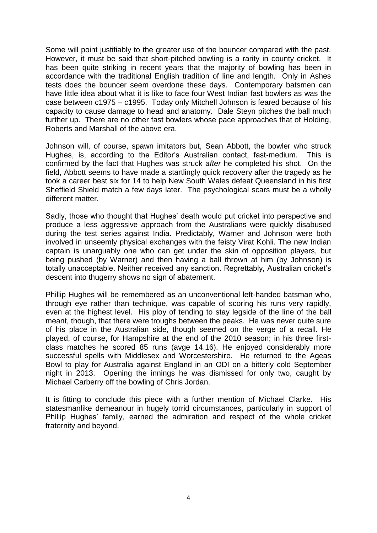Some will point justifiably to the greater use of the bouncer compared with the past. However, it must be said that short-pitched bowling is a rarity in county cricket. It has been quite striking in recent years that the majority of bowling has been in accordance with the traditional English tradition of line and length. Only in Ashes tests does the bouncer seem overdone these days. Contemporary batsmen can have little idea about what it is like to face four West Indian fast bowlers as was the case between c1975 – c1995. Today only Mitchell Johnson is feared because of his capacity to cause damage to head and anatomy. Dale Steyn pitches the ball much further up. There are no other fast bowlers whose pace approaches that of Holding, Roberts and Marshall of the above era.

Johnson will, of course, spawn imitators but, Sean Abbott, the bowler who struck Hughes, is, according to the Editor's Australian contact, fast-medium. This is confirmed by the fact that Hughes was struck *after* he completed his shot. On the field, Abbott seems to have made a startlingly quick recovery after the tragedy as he took a career best six for 14 to help New South Wales defeat Queensland in his first Sheffield Shield match a few days later. The psychological scars must be a wholly different matter.

Sadly, those who thought that Hughes' death would put cricket into perspective and produce a less aggressive approach from the Australians were quickly disabused during the test series against India. Predictably, Warner and Johnson were both involved in unseemly physical exchanges with the feisty Virat Kohli. The new Indian captain is unarguably one who can get under the skin of opposition players, but being pushed (by Warner) and then having a ball thrown at him (by Johnson) is totally unacceptable. Neither received any sanction. Regrettably, Australian cricket's descent into thugerry shows no sign of abatement.

Phillip Hughes will be remembered as an unconventional left-handed batsman who, through eye rather than technique, was capable of scoring his runs very rapidly, even at the highest level. His ploy of tending to stay legside of the line of the ball meant, though, that there were troughs between the peaks. He was never quite sure of his place in the Australian side, though seemed on the verge of a recall. He played, of course, for Hampshire at the end of the 2010 season; in his three firstclass matches he scored 85 runs (avge 14.16). He enjoyed considerably more successful spells with Middlesex and Worcestershire. He returned to the Ageas Bowl to play for Australia against England in an ODI on a bitterly cold September night in 2013. Opening the innings he was dismissed for only two, caught by Michael Carberry off the bowling of Chris Jordan.

It is fitting to conclude this piece with a further mention of Michael Clarke. His statesmanlike demeanour in hugely torrid circumstances, particularly in support of Phillip Hughes' family, earned the admiration and respect of the whole cricket fraternity and beyond.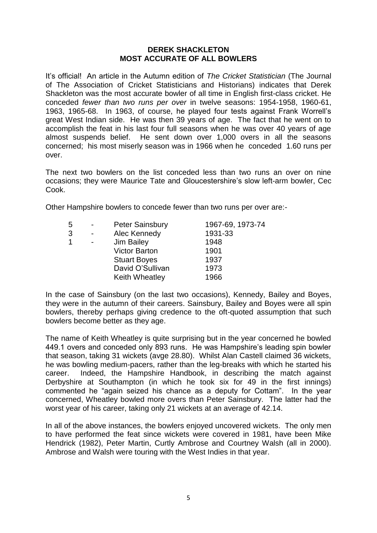#### **DEREK SHACKLETON MOST ACCURATE OF ALL BOWLERS**

It's official! An article in the Autumn edition of *The Cricket Statistician* (The Journal of The Association of Cricket Statisticians and Historians) indicates that Derek Shackleton was the most accurate bowler of all time in English first-class cricket. He conceded *fewer than two runs per over* in twelve seasons: 1954-1958, 1960-61, 1963, 1965-68. In 1963, of course, he played four tests against Frank Worrell's great West Indian side. He was then 39 years of age. The fact that he went on to accomplish the feat in his last four full seasons when he was over 40 years of age almost suspends belief. He sent down over 1,000 overs in all the seasons concerned; his most miserly season was in 1966 when he conceded 1.60 runs per over.

The next two bowlers on the list conceded less than two runs an over on nine occasions; they were Maurice Tate and Gloucestershire's slow left-arm bowler, Cec Cook.

Other Hampshire bowlers to concede fewer than two runs per over are:-

|   | <b>Peter Sainsbury</b> | 1967-69, 1973-74 |
|---|------------------------|------------------|
|   | Alec Kennedy           | 1931-33          |
| 1 | Jim Bailey             | 1948             |
|   | <b>Victor Barton</b>   | 1901             |
|   | <b>Stuart Boyes</b>    | 1937             |
|   | David O'Sullivan       | 1973             |
|   | Keith Wheatley         | 1966             |
|   |                        |                  |

In the case of Sainsbury (on the last two occasions), Kennedy, Bailey and Boyes, they were in the autumn of their careers. Sainsbury, Bailey and Boyes were all spin bowlers, thereby perhaps giving credence to the oft-quoted assumption that such bowlers become better as they age.

The name of Keith Wheatley is quite surprising but in the year concerned he bowled 449.1 overs and conceded only 893 runs. He was Hampshire's leading spin bowler that season, taking 31 wickets (avge 28.80). Whilst Alan Castell claimed 36 wickets, he was bowling medium-pacers, rather than the leg-breaks with which he started his career. Indeed, the Hampshire Handbook, in describing the match against Derbyshire at Southampton (in which he took six for 49 in the first innings) commented he "again seized his chance as a deputy for Cottam". In the year concerned, Wheatley bowled more overs than Peter Sainsbury. The latter had the worst year of his career, taking only 21 wickets at an average of 42.14.

In all of the above instances, the bowlers enjoyed uncovered wickets. The only men to have performed the feat since wickets were covered in 1981, have been Mike Hendrick (1982), Peter Martin, Curtly Ambrose and Courtney Walsh (all in 2000). Ambrose and Walsh were touring with the West Indies in that year.